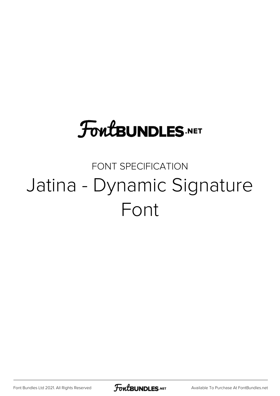## **FoutBUNDLES.NET**

### FONT SPECIFICATION Jatina - Dynamic Signature Font

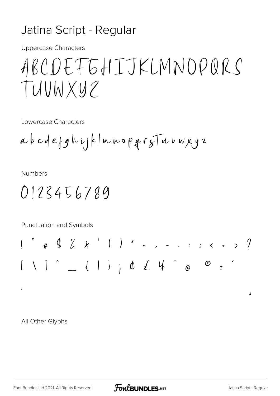#### Jatina Script - Regular

**Uppercase Characters** 

## ABCDEFEHIJKLMNDPQRS TUUWXYZ

Lowercase Characters

**Numbers** 

Punctuation and Symbols

All Other Glyphs

 $\sqrt{2}$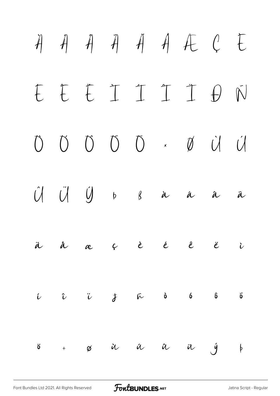# $\ddot{A}$   $\ddot{A}$   $\ddot{A}$   $\ddot{A}$   $\ddot{A}$   $\ddot{C}$   $\ddot{C}$ É Ê Ë Ì Í Î Ï Ð Ñ Ò Ó Ô Õ Ö × Ø Ù Ú Û Ü Ý Þ ß à á â ã ä å æ ç è é ê ë ì í î ï ð ñ ò ó ô õ ö ÷ ø ù ú û ü ý þ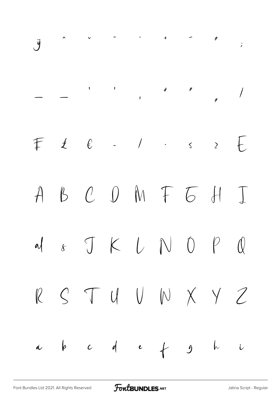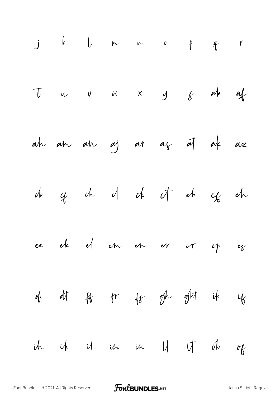